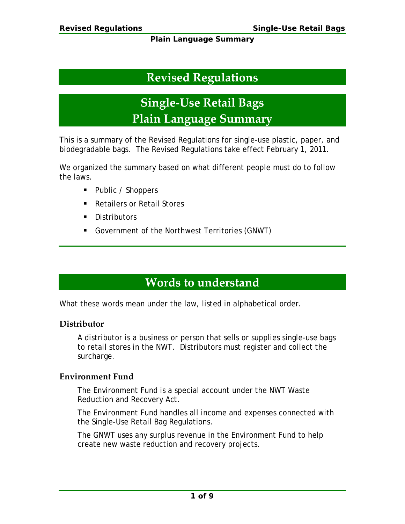# **Revised Regulations**

**Single-Use Retail Bags Plain Language Summary**

This is a summary of the Revised Regulations for single-use plastic, paper, and biodegradable bags. The Revised Regulations take effect February 1, 2011.

We organized the summary based on what different people must do to follow the laws.

- Public / Shoppers
- Retailers or Retail Stores
- **Distributors**
- Government of the Northwest Territories (GNWT)

# **Words to understand**

What these words mean under the law, listed in alphabetical order.

## **Distributor**

A distributor is a business or person that sells or supplies single-use bags to retail stores in the NWT. Distributors must register and collect the surcharge.

## **Environment Fund**

The Environment Fund is a special account under the NWT *Waste Reduction and Recovery Act*.

The Environment Fund handles all income and expenses connected with the Single-Use Retail Bag Regulations.

The GNWT uses any surplus revenue in the Environment Fund to help create new waste reduction and recovery projects.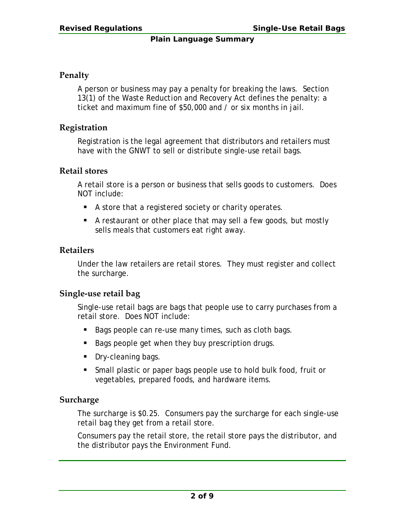### **Penalty**

A person or business may pay a penalty for breaking the laws. Section 13(1) of the *Waste Reduction and Recovery Act* defines the penalty: a ticket and maximum fine of \$50,000 and / or six months in jail.

### **Registration**

Registration is the legal agreement that distributors and retailers must have with the GNWT to sell or distribute single-use retail bags.

#### **Retail stores**

A retail store is a person or business that sells goods to customers. Does NOT include:

- A store that a registered society or charity operates.
- A restaurant or other place that may sell a few goods, but mostly sells meals that customers eat right away.

### **Retailers**

Under the law retailers are retail stores. They must register and collect the surcharge.

### **Single-use retail bag**

Single-use retail bags are bags that people use to carry purchases from a retail store. Does NOT include:

- Bags people can re-use many times, such as cloth bags.
- Bags people get when they buy prescription drugs.
- Dry-cleaning bags.
- Small plastic or paper bags people use to hold bulk food, fruit or vegetables, prepared foods, and hardware items.

### **Surcharge**

The surcharge is \$0.25. Consumers pay the surcharge for each single-use retail bag they get from a retail store.

Consumers pay the retail store, the retail store pays the distributor, and the distributor pays the Environment Fund.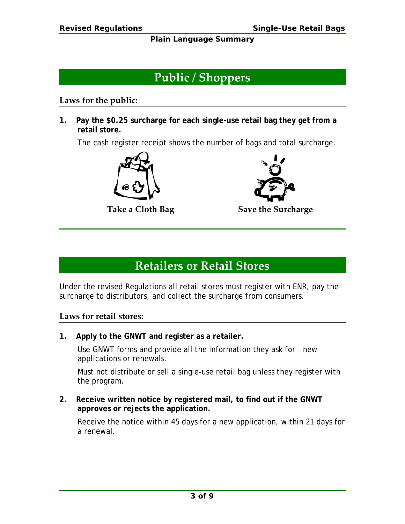# **Public / Shoppers**

### **Laws for the public:**

**1. Pay the \$0.25 surcharge for each single-use retail bag they get from a retail store.**

The cash register receipt shows the number of bags and total surcharge.





**Take a Cloth Bag Save the Surcharge**

# **Retailers or Retail Stores**

Under the revised Regulations all retail stores must register with ENR, pay the surcharge to distributors, and collect the surcharge from consumers.

## **Laws for retail stores:**

**1. Apply to the GNWT and register as a retailer.**

Use GNWT forms and provide all the information they ask for – new applications or renewals.

Must not distribute or sell a single-use retail bag unless they register with the program.

**2. Receive written notice by registered mail, to find out if the GNWT approves or rejects the application.**

Receive the notice within 45 days for a new application, within 21 days for a renewal.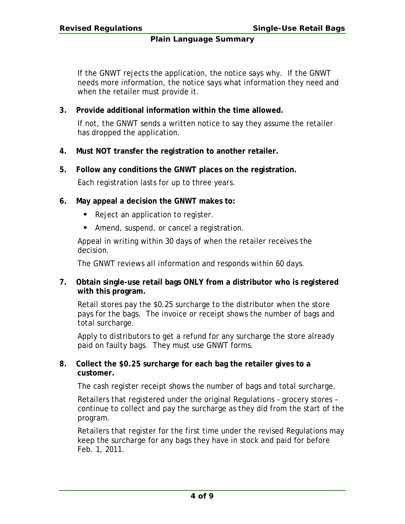If the GNWT rejects the application, the notice says why. If the GNWT needs more information, the notice says what information they need and when the retailer must provide it.

**3. Provide additional information within the time allowed.**

If not, the GNWT sends a written notice to say they assume the retailer has dropped the application.

- **4. Must NOT transfer the registration to another retailer.**
- **5. Follow any conditions the GNWT places on the registration.**

Each registration lasts for up to three years.

- **6. May appeal a decision the GNWT makes to:**
	- Reject an application to register.
	- **Amend, suspend, or cancel a registration.**

Appeal in writing within 30 days of when the retailer receives the decision.

The GNWT reviews all information and responds within 60 days.

**7. Obtain single-use retail bags ONLY from a distributor who is registered with this program.**

Retail stores pay the \$0.25 surcharge to the distributor when the store pays for the bags. The invoice or receipt shows the number of bags and total surcharge.

Apply to distributors to get a refund for any surcharge the store already paid on faulty bags. They must use GNWT forms.

**8. Collect the \$0.25 surcharge for each bag the retailer gives to a customer.**

The cash register receipt shows the number of bags and total surcharge.

Retailers that registered under the original Regulations – grocery stores – continue to collect and pay the surcharge as they did from the start of the program.

Retailers that register for the first time under the revised Regulations may keep the surcharge for any bags they have in stock and paid for before Feb. 1, 2011.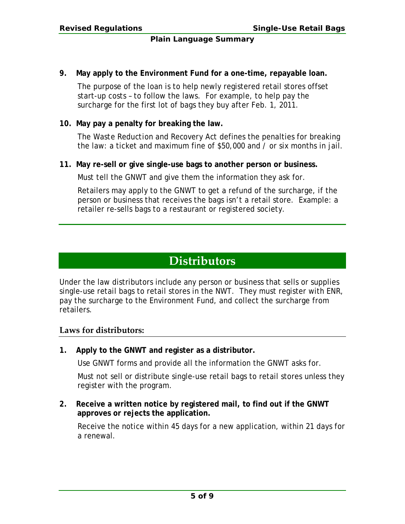**9. May apply to the Environment Fund for a one-time, repayable loan.**

The purpose of the loan is to help newly registered retail stores offset start-up costs – to follow the laws. For example, to help pay the surcharge for the first lot of bags they buy after Feb. 1, 2011.

### **10. May pay a penalty for breaking the law.**

The *Waste Reduction and Recovery Act* defines the penalties for breaking the law: a ticket and maximum fine of \$50,000 and / or six months in jail.

**11. May re-sell or give single-use bags to another person or business.**

Must tell the GNWT and give them the information they ask for.

Retailers may apply to the GNWT to get a refund of the surcharge, if the person or business that receives the bags isn't a retail store. Example: a retailer re-sells bags to a restaurant or registered society.

## **Distributors**

Under the law distributors include any person or business that sells or supplies single-use retail bags to retail stores in the NWT. They must register with ENR, pay the surcharge to the Environment Fund, and collect the surcharge from retailers.

### **Laws for distributors:**

**1. Apply to the GNWT and register as a distributor.**

Use GNWT forms and provide all the information the GNWT asks for.

Must not sell or distribute single-use retail bags to retail stores unless they register with the program.

**2. Receive a written notice by registered mail, to find out if the GNWT approves or rejects the application.**

Receive the notice within 45 days for a new application, within 21 days for a renewal.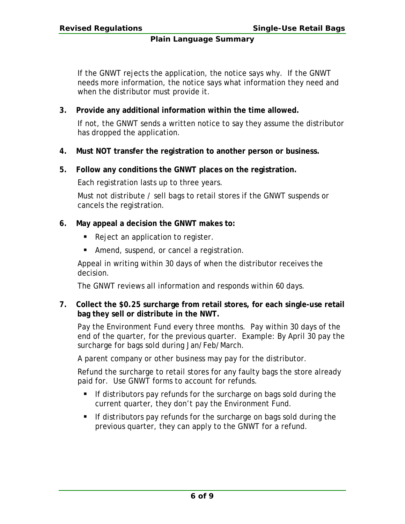If the GNWT rejects the application, the notice says why. If the GNWT needs more information, the notice says what information they need and when the distributor must provide it.

**3. Provide any additional information within the time allowed.**

If not, the GNWT sends a written notice to say they assume the distributor has dropped the application.

- **4. Must NOT transfer the registration to another person or business.**
- **5. Follow any conditions the GNWT places on the registration.**

Each registration lasts up to three years.

Must not distribute / sell bags to retail stores if the GNWT suspends or cancels the registration.

- **6. May appeal a decision the GNWT makes to:**
	- Reject an application to register.
	- **Amend, suspend, or cancel a registration.**

Appeal in writing within 30 days of when the distributor receives the decision.

The GNWT reviews all information and responds within 60 days.

**7. Collect the \$0.25 surcharge from retail stores, for each single-use retail bag they sell or distribute in the NWT.**

Pay the Environment Fund every three months. Pay within 30 days of the end of the quarter, for the previous quarter. Example: By April 30 pay the surcharge for bags sold during Jan/Feb/March.

A parent company or other business may pay for the distributor.

Refund the surcharge to retail stores for any faulty bags the store already paid for. Use GNWT forms to account for refunds.

- If distributors pay refunds for the surcharge on bags sold during the current quarter, they don't pay the Environment Fund.
- If distributors pay refunds for the surcharge on bags sold during the previous quarter, they can apply to the GNWT for a refund.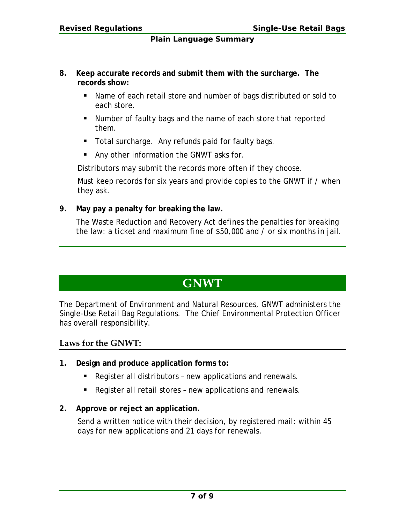- **8. Keep accurate records and submit them with the surcharge. The records show:**
	- Name of each retail store and number of bags distributed or sold to each store.
	- Number of faulty bags and the name of each store that reported them.
	- **Total surcharge. Any refunds paid for faulty bags.**
	- **Any other information the GNWT asks for.**

Distributors may submit the records more often if they choose.

Must keep records for six years and provide copies to the GNWT if / when they ask.

**9. May pay a penalty for breaking the law.**

The *Waste Reduction and Recovery Act* defines the penalties for breaking the law: a ticket and maximum fine of \$50,000 and / or six months in jail.

## **GNWT**

The Department of Environment and Natural Resources, GNWT administers the Single-Use Retail Bag Regulations. The Chief Environmental Protection Officer has overall responsibility.

## **Laws for the GNWT:**

- **1. Design and produce application forms to:**
	- Register all distributors new applications and renewals.
	- Register all retail stores new applications and renewals.
- **2. Approve or reject an application.**

Send a written notice with their decision, by registered mail: within 45 days for new applications and 21 days for renewals.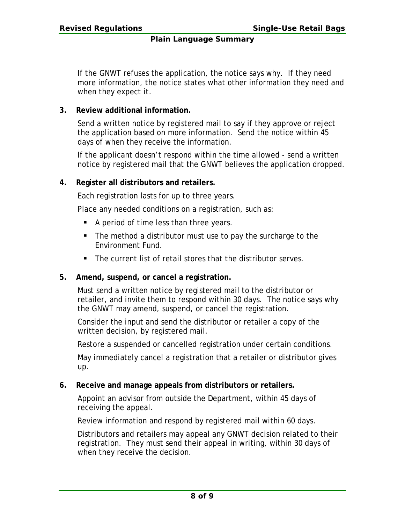If the GNWT refuses the application, the notice says why. If they need more information, the notice states what other information they need and when they expect it.

### **3. Review additional information.**

Send a written notice by registered mail to say if they approve or reject the application based on more information. Send the notice within 45 days of when they receive the information.

If the applicant doesn't respond within the time allowed - send a written notice by registered mail that the GNWT believes the application dropped.

### **4. Register all distributors and retailers.**

Each registration lasts for up to three years.

Place any needed conditions on a registration, such as:

- A period of time less than three years.
- The method a distributor must use to pay the surcharge to the Environment Fund.
- The current list of retail stores that the distributor serves.

### **5. Amend, suspend, or cancel a registration.**

Must send a written notice by registered mail to the distributor or retailer, and invite them to respond within 30 days. The notice says why the GNWT may amend, suspend, or cancel the registration.

Consider the input and send the distributor or retailer a copy of the written decision, by registered mail.

Restore a suspended or cancelled registration under certain conditions.

May immediately cancel a registration that a retailer or distributor gives up.

### **6. Receive and manage appeals from distributors or retailers.**

Appoint an advisor from outside the Department, within 45 days of receiving the appeal.

Review information and respond by registered mail within 60 days.

Distributors and retailers may appeal any GNWT decision related to their registration. They must send their appeal in writing, within 30 days of when they receive the decision.